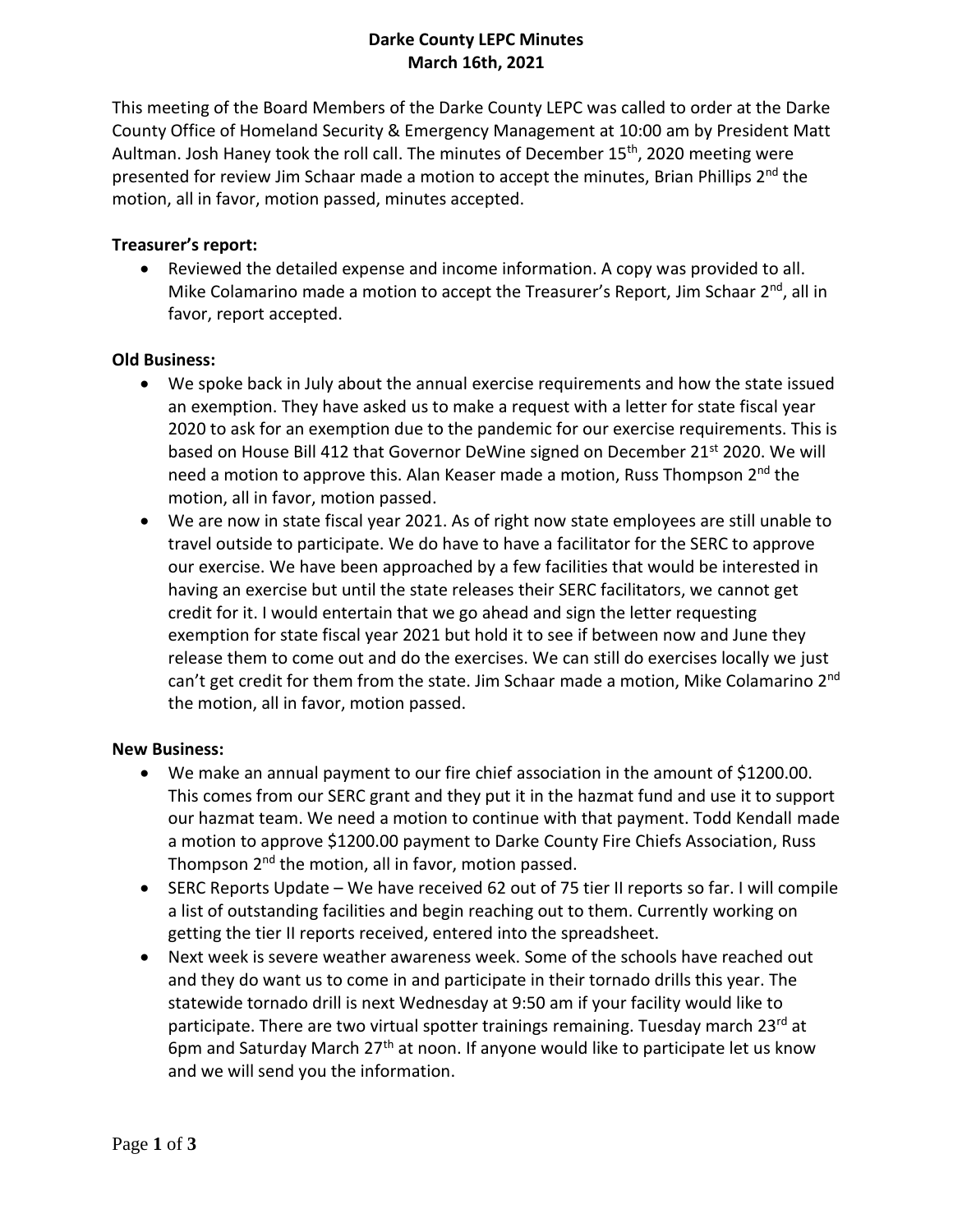# **Darke County LEPC Minutes March 16th, 2021**

This meeting of the Board Members of the Darke County LEPC was called to order at the Darke County Office of Homeland Security & Emergency Management at 10:00 am by President Matt Aultman. Josh Haney took the roll call. The minutes of December 15<sup>th</sup>, 2020 meeting were presented for review Jim Schaar made a motion to accept the minutes, Brian Phillips 2<sup>nd</sup> the motion, all in favor, motion passed, minutes accepted.

## **Treasurer's report:**

• Reviewed the detailed expense and income information. A copy was provided to all. Mike Colamarino made a motion to accept the Treasurer's Report, Jim Schaar 2<sup>nd</sup>, all in favor, report accepted.

## **Old Business:**

- We spoke back in July about the annual exercise requirements and how the state issued an exemption. They have asked us to make a request with a letter for state fiscal year 2020 to ask for an exemption due to the pandemic for our exercise requirements. This is based on House Bill 412 that Governor DeWine signed on December 21<sup>st</sup> 2020. We will need a motion to approve this. Alan Keaser made a motion, Russ Thompson 2<sup>nd</sup> the motion, all in favor, motion passed.
- We are now in state fiscal year 2021. As of right now state employees are still unable to travel outside to participate. We do have to have a facilitator for the SERC to approve our exercise. We have been approached by a few facilities that would be interested in having an exercise but until the state releases their SERC facilitators, we cannot get credit for it. I would entertain that we go ahead and sign the letter requesting exemption for state fiscal year 2021 but hold it to see if between now and June they release them to come out and do the exercises. We can still do exercises locally we just can't get credit for them from the state. Jim Schaar made a motion, Mike Colamarino 2<sup>nd</sup> the motion, all in favor, motion passed.

#### **New Business:**

- We make an annual payment to our fire chief association in the amount of \$1200.00. This comes from our SERC grant and they put it in the hazmat fund and use it to support our hazmat team. We need a motion to continue with that payment. Todd Kendall made a motion to approve \$1200.00 payment to Darke County Fire Chiefs Association, Russ Thompson 2<sup>nd</sup> the motion, all in favor, motion passed.
- SERC Reports Update We have received 62 out of 75 tier II reports so far. I will compile a list of outstanding facilities and begin reaching out to them. Currently working on getting the tier II reports received, entered into the spreadsheet.
- Next week is severe weather awareness week. Some of the schools have reached out and they do want us to come in and participate in their tornado drills this year. The statewide tornado drill is next Wednesday at 9:50 am if your facility would like to participate. There are two virtual spotter trainings remaining. Tuesday march 23<sup>rd</sup> at 6pm and Saturday March  $27<sup>th</sup>$  at noon. If anyone would like to participate let us know and we will send you the information.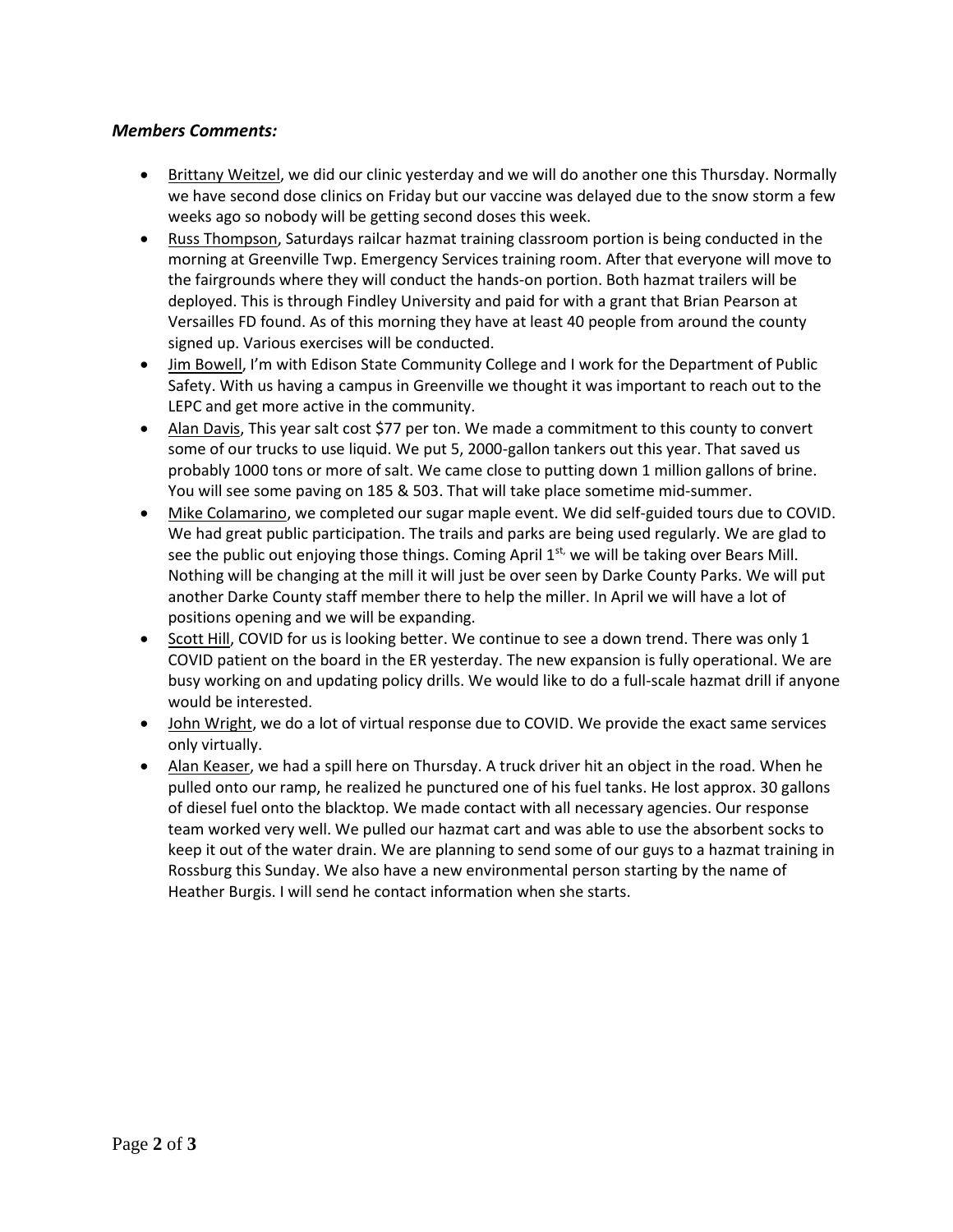#### *Members Comments:*

- Brittany Weitzel, we did our clinic yesterday and we will do another one this Thursday. Normally we have second dose clinics on Friday but our vaccine was delayed due to the snow storm a few weeks ago so nobody will be getting second doses this week.
- Russ Thompson, Saturdays railcar hazmat training classroom portion is being conducted in the morning at Greenville Twp. Emergency Services training room. After that everyone will move to the fairgrounds where they will conduct the hands-on portion. Both hazmat trailers will be deployed. This is through Findley University and paid for with a grant that Brian Pearson at Versailles FD found. As of this morning they have at least 40 people from around the county signed up. Various exercises will be conducted.
- Jim Bowell, I'm with Edison State Community College and I work for the Department of Public Safety. With us having a campus in Greenville we thought it was important to reach out to the LEPC and get more active in the community.
- Alan Davis, This year salt cost \$77 per ton. We made a commitment to this county to convert some of our trucks to use liquid. We put 5, 2000-gallon tankers out this year. That saved us probably 1000 tons or more of salt. We came close to putting down 1 million gallons of brine. You will see some paving on 185 & 503. That will take place sometime mid-summer.
- Mike Colamarino, we completed our sugar maple event. We did self-guided tours due to COVID. We had great public participation. The trails and parks are being used regularly. We are glad to see the public out enjoying those things. Coming April  $1^{st}$ , we will be taking over Bears Mill. Nothing will be changing at the mill it will just be over seen by Darke County Parks. We will put another Darke County staff member there to help the miller. In April we will have a lot of positions opening and we will be expanding.
- Scott Hill, COVID for us is looking better. We continue to see a down trend. There was only 1 COVID patient on the board in the ER yesterday. The new expansion is fully operational. We are busy working on and updating policy drills. We would like to do a full-scale hazmat drill if anyone would be interested.
- John Wright, we do a lot of virtual response due to COVID. We provide the exact same services only virtually.
- Alan Keaser, we had a spill here on Thursday. A truck driver hit an object in the road. When he pulled onto our ramp, he realized he punctured one of his fuel tanks. He lost approx. 30 gallons of diesel fuel onto the blacktop. We made contact with all necessary agencies. Our response team worked very well. We pulled our hazmat cart and was able to use the absorbent socks to keep it out of the water drain. We are planning to send some of our guys to a hazmat training in Rossburg this Sunday. We also have a new environmental person starting by the name of Heather Burgis. I will send he contact information when she starts.